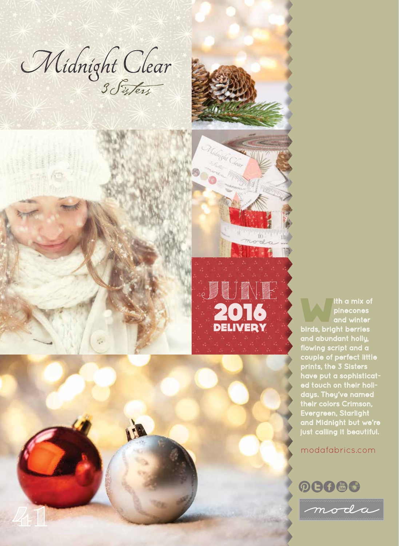Midnight Clear

41







Ith a mix of<br>
pinecones<br>
and winter pinecones birds, bright berries and abundant holly, flowing script and a couple of perfect little prints, the 3 Sisters have put a sophisticat ed touch on their holidays. They've named their colors Crimson, Evergreen, Starlight and Midnight but we're just calling it beautiful.

modafabrics.com

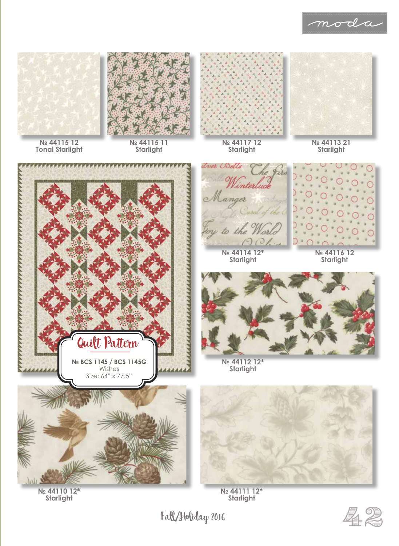





**№ 44115 12 Tonal Starlight**

**№ 44115 11 Starlight**



**№ 44117 12 Starlight**





**№ 44110 12\* Starlight**

*Lver Bells* inte anger  $\epsilon$ R O **№ 44114 12\***





**№ 44116 12 Starlight**



**№ 44112 12\* Starlight**



**№ 44111 12\* Starlight**

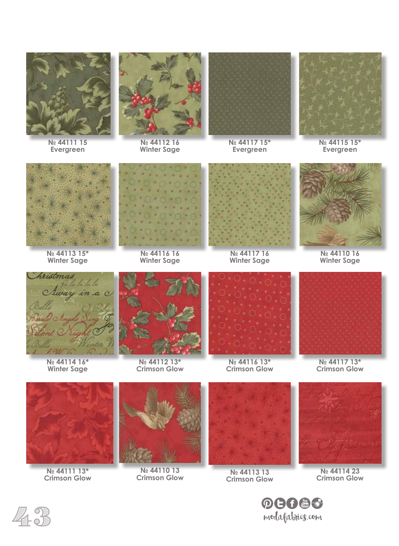

**№ 44111 15 Evergreen**



**№ 44112 16 Winter Sage**



**№ 44117 15\* Evergreen**



**№ 44115 15\* Evergreen**



**№ 44113 15\* Winter Sage**



**№ 44116 16 Winter Sage**



**№ 44117 16 Winter Sage**



**№ 44110 16 Winter Sage**



**№ 44114 16\* Winter Sage**



**№ 44112 13\* Crimson Glow**



**№ 44116 13\* Crimson Glow**



**№ 44117 13\* Crimson Glow**



**№ 44111 13\* Crimson Glow**



**№ 44110 13 Crimson Glow**



**№ 44113 13 Crimson Glow**



**№ 44114 23 Crimson Glow**